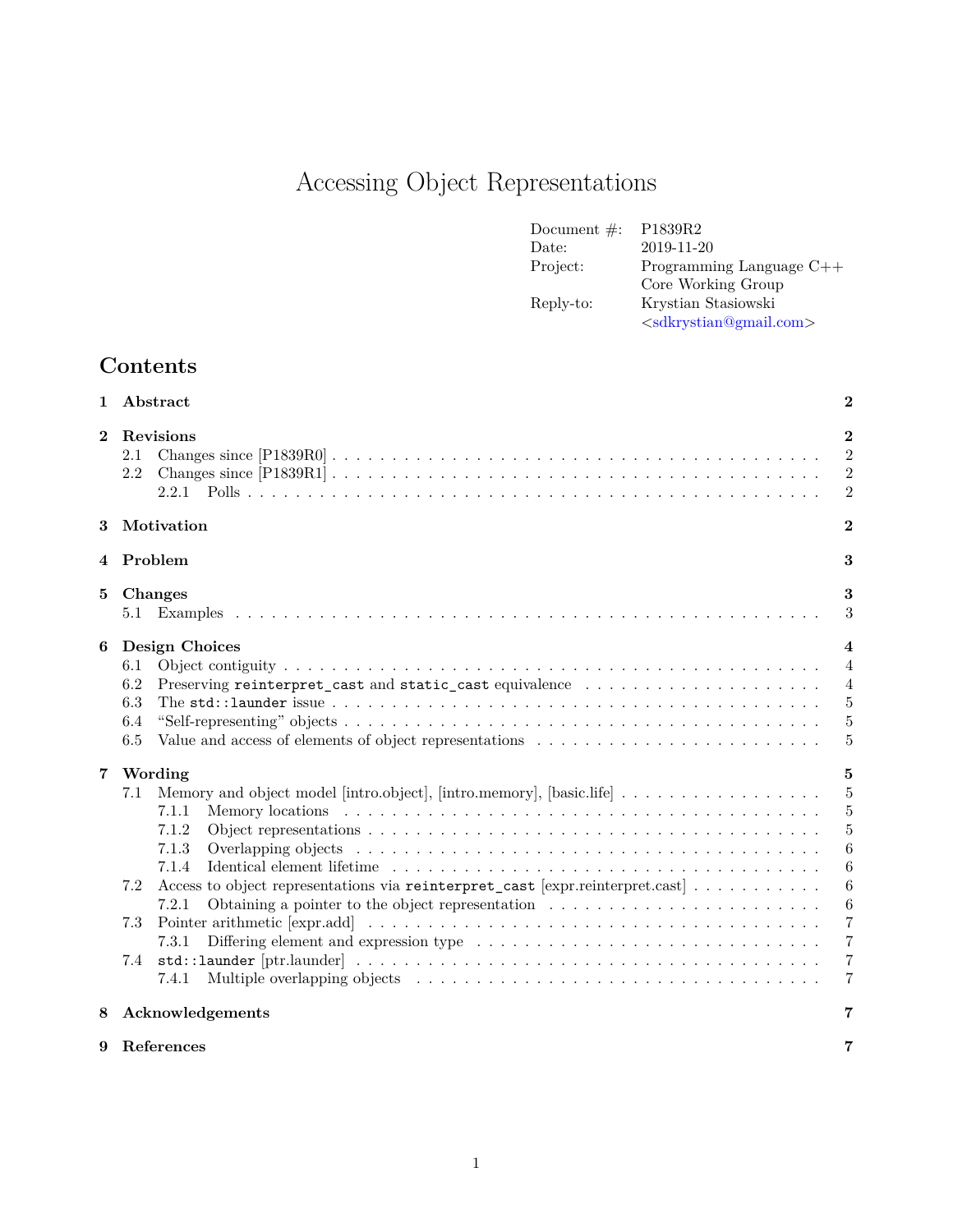# Accessing Object Representations

| Document $\#$ : | P <sub>1839</sub> R <sub>2</sub> |
|-----------------|----------------------------------|
| Date:           | 2019-11-20                       |
| Project:        | Programming Language $C++$       |
|                 | Core Working Group               |
| Reply-to:       | Krystian Stasiowski              |
|                 | $\langle$ sdkrystian@gmail.com>  |

## **Contents**

| 1              | Abstract                                                                                                                                                                                                                                                                                                       | $\bf{2}$                                                                                                                                                                          |
|----------------|----------------------------------------------------------------------------------------------------------------------------------------------------------------------------------------------------------------------------------------------------------------------------------------------------------------|-----------------------------------------------------------------------------------------------------------------------------------------------------------------------------------|
| $\bf{2}$       | Revisions<br>2.1<br>2.2                                                                                                                                                                                                                                                                                        | $\bf{2}$<br>$\overline{2}$<br>$\overline{2}$<br>$\overline{2}$                                                                                                                    |
| 3              | Motivation                                                                                                                                                                                                                                                                                                     | $\overline{2}$                                                                                                                                                                    |
|                | 4 Problem<br>3                                                                                                                                                                                                                                                                                                 |                                                                                                                                                                                   |
| 5              | Changes<br>5.1                                                                                                                                                                                                                                                                                                 | 3<br>3                                                                                                                                                                            |
| 6              | Design Choices<br>6.1<br>6.2<br>Preserving reinterpret_cast and static_cast equivalence<br>6.3<br>6.4<br>6.5                                                                                                                                                                                                   | $\overline{4}$<br>$\overline{4}$<br>$\overline{4}$<br>5<br>5<br>$\overline{5}$                                                                                                    |
| $\overline{7}$ | Wording<br>7.1<br>7.1.1<br>7.1.2<br>7.1.3<br>Identical element lifetime $\ldots \ldots \ldots \ldots \ldots \ldots \ldots \ldots \ldots \ldots \ldots \ldots \ldots$<br>7.1.4<br>Access to object representations via reinterpret_cast [expr.reinterpret.cast]<br>7.2<br>7.2.1<br>7.3<br>7.3.1<br>7.4<br>7.4.1 | 5<br>$\overline{5}$<br>$\overline{5}$<br>$\overline{5}$<br>6<br>6<br>$\boldsymbol{6}$<br>$\boldsymbol{6}$<br>$\overline{7}$<br>$\overline{7}$<br>$\overline{7}$<br>$\overline{7}$ |
| 8              | Acknowledgements                                                                                                                                                                                                                                                                                               |                                                                                                                                                                                   |
| 9              | References                                                                                                                                                                                                                                                                                                     |                                                                                                                                                                                   |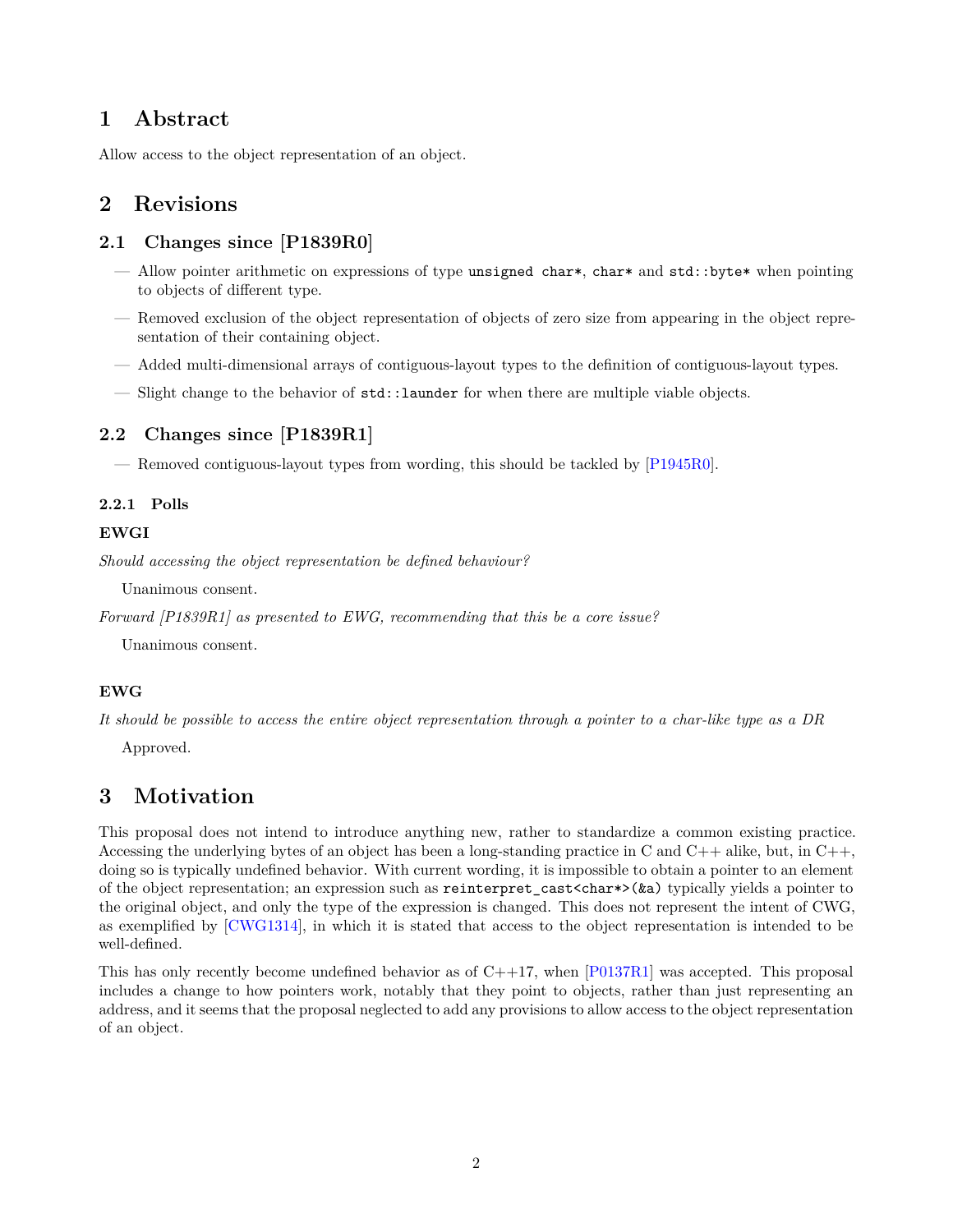## <span id="page-1-0"></span>**1 Abstract**

Allow access to the object representation of an object.

## <span id="page-1-1"></span>**2 Revisions**

#### <span id="page-1-2"></span>**2.1 Changes since [P1839R0]**

- Allow pointer arithmetic on expressions of type unsigned char\*, char\* and std::byte\* when pointing to objects of different type.
- Removed exclusion of the object representation of objects of zero size from appearing in the object representation of their containing object.
- Added multi-dimensional arrays of contiguous-layout types to the definition of contiguous-layout types.
- Slight change to the behavior of std::launder for when there are multiple viable objects.

#### <span id="page-1-3"></span>**2.2 Changes since [P1839R1]**

— Removed contiguous-layout types from wording, this should be tackled by [\[P1945R0](#page-6-6)].

#### <span id="page-1-4"></span>**2.2.1 Polls**

#### **EWGI**

*Should accessing the object representation be defined behaviour?*

Unanimous consent.

*Forward [P1839R1] as presented to EWG, recommending that this be a core issue?*

Unanimous consent.

#### **EWG**

*It should be possible to access the entire object representation through a pointer to a char-like type as a DR*

Approved.

## <span id="page-1-5"></span>**3 Motivation**

This proposal does not intend to introduce anything new, rather to standardize a common existing practice. Accessing the underlying bytes of an object has been a long-standing practice in C and  $C++$  alike, but, in  $C++$ , doing so is typically undefined behavior. With current wording, it is impossible to obtain a pointer to an element of the object representation; an expression such as reinterpret\_cast<char\*>(&a) typically yields a pointer to the original object, and only the type of the expression is changed. This does not represent the intent of CWG, as exemplified by [[CWG1314\]](#page-6-7), in which it is stated that access to the object representation is intended to be well-defined.

This has only recently become undefined behavior as of C++17, when [\[P0137R1](#page-6-8)] was accepted. This proposal includes a change to how pointers work, notably that they point to objects, rather than just representing an address, and it seems that the proposal neglected to add any provisions to allow access to the object representation of an object.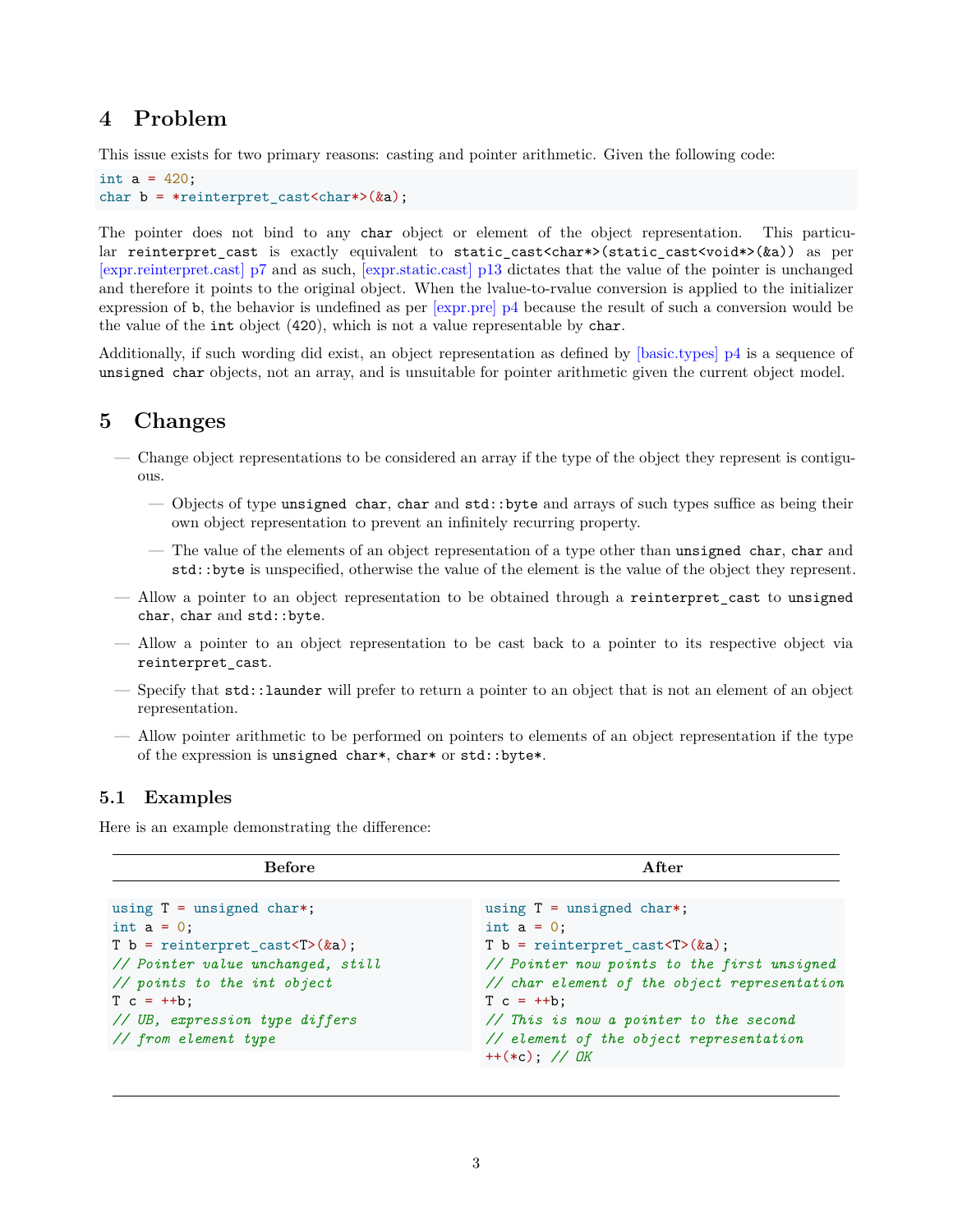## <span id="page-2-0"></span>**4 Problem**

This issue exists for two primary reasons: casting and pointer arithmetic. Given the following code:

```
int a = 420;
char b = *reinterpret\ncast{char*>(ka)};
```
The pointer does not bind to any char object or element of the object representation. This particular reinterpret\_cast is exactly equivalent to static\_cast<char\*>(static\_cast<void\*>(&a)) as per [\[expr.reinterpret.cast\] p7](http://eel.is/c++draft/expr.reinterpret.cast#7) and as such, [\[expr.static.cast\] p13](http://eel.is/c++draft/expr.static.cast#13) dictates that the value of the pointer is unchanged and therefore it points to the original object. When the lvalue-to-rvalue conversion is applied to the initializer expression of b, the behavior is undefined as per [\[expr.pre\] p4](http://eel.is/c++draft/expr.pre#4) because the result of such a conversion would be the value of the int object (420), which is not a value representable by char.

Additionally, if such wording did exist, an object representation as defined by [\[basic.types\] p4](http://eel.is/c++draft/basic.types#4) is a sequence of unsigned char objects, not an array, and is unsuitable for pointer arithmetic given the current object model.

## <span id="page-2-1"></span>**5 Changes**

- Change object representations to be considered an array if the type of the object they represent is contiguous.
	- Objects of type unsigned char, char and std::byte and arrays of such types suffice as being their own object representation to prevent an infinitely recurring property.
	- The value of the elements of an object representation of a type other than unsigned char, char and std::byte is unspecified, otherwise the value of the element is the value of the object they represent.
- Allow a pointer to an object representation to be obtained through a reinterpret\_cast to unsigned char, char and std::byte.
- Allow a pointer to an object representation to be cast back to a pointer to its respective object via reinterpret\_cast.
- Specify that std::launder will prefer to return a pointer to an object that is not an element of an object representation.
- Allow pointer arithmetic to be performed on pointers to elements of an object representation if the type of the expression is unsigned char\*, char\* or std::byte\*.

#### <span id="page-2-2"></span>**5.1 Examples**

Here is an example demonstrating the difference:

| <b>Before</b>                                                                                                                                                                                                                                                    | A fter                                                                                                                                                                                                                                                                                                                                                     |
|------------------------------------------------------------------------------------------------------------------------------------------------------------------------------------------------------------------------------------------------------------------|------------------------------------------------------------------------------------------------------------------------------------------------------------------------------------------------------------------------------------------------------------------------------------------------------------------------------------------------------------|
| using $T =$ unsigned char*;<br>int $a = 0$ ;<br>T $b =$ reinterpret_cast <t>(<math>ka</math>);<br/>// Pointer value unchanged, still<br/>// points to the int object<br/><math>T c = ++b</math>;<br/>// UB, expression type differs<br/>// from element type</t> | using $T =$ unsigned char*;<br>int $a = 0$ ;<br>T $b =$ reinterpret_cast <t>(<math>\&amp;a</math>);<br/>// Pointer now points to the first unsigned<br/>// char element of the object representation<br/><math>T c = ++b</math>:<br/>// This is now a pointer to the second<br/>// element of the object representation<br/><math>++(*c);</math> // OK</t> |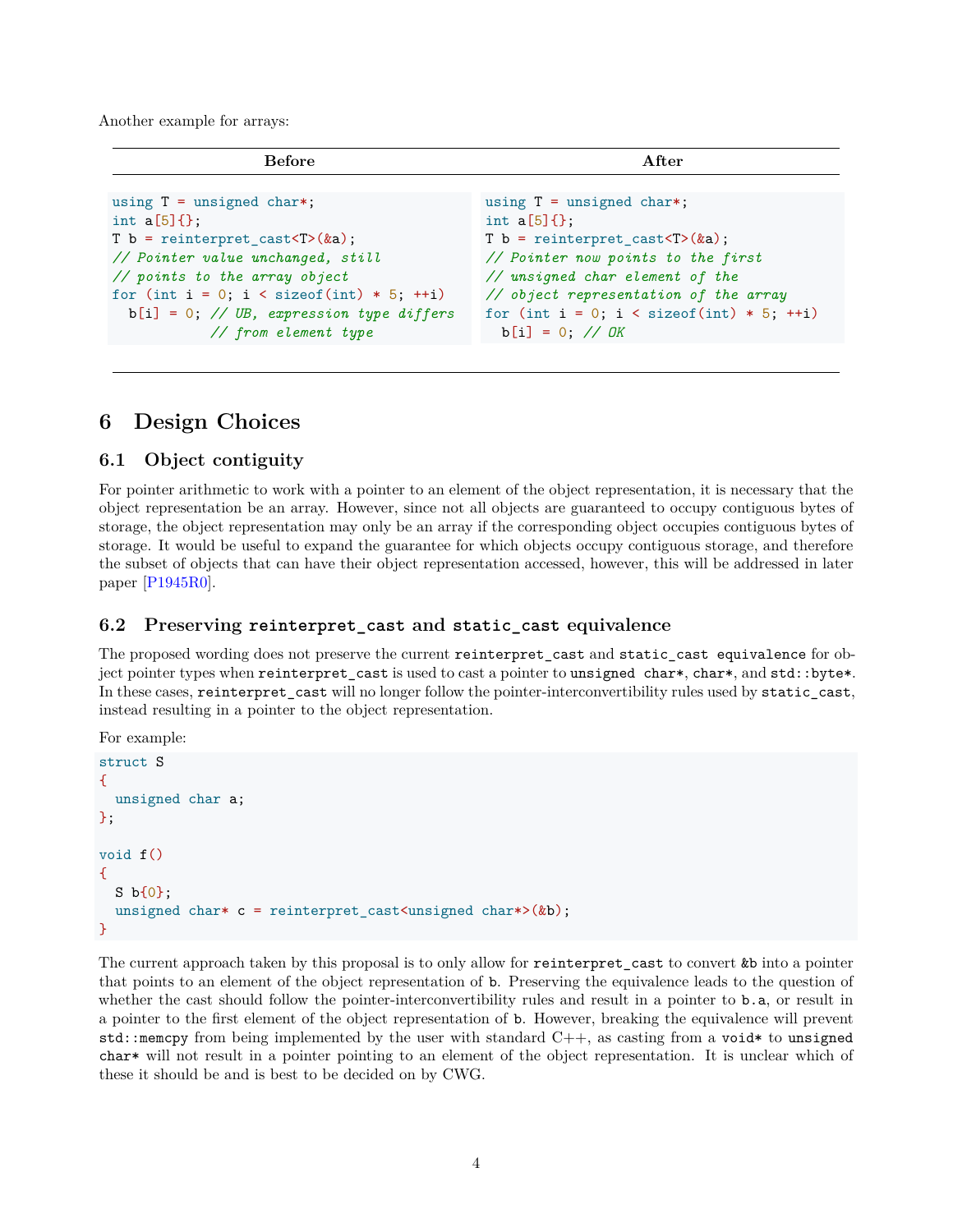Another example for arrays:

| <b>Before</b>                                          | A fter                                                 |
|--------------------------------------------------------|--------------------------------------------------------|
| using $T =$ unsigned char*;                            | using $T =$ unsigned char*;                            |
| int $a[5]$ { };                                        | int $a[5]$ { };                                        |
| T b = reinterpret_cast <t><math>(ka)</math>;</t>       | T b = reinterpret_cast <t><math>(ka)</math>;</t>       |
| // Pointer value unchanged, still                      | // Pointer now points to the first                     |
| // points to the array object                          | // unsigned char element of the                        |
| for (int $i = 0$ ; $i <$ size of (int) $* 5$ ; $++i$ ) | // object representation of the array                  |
| $b[i] = 0$ ; // UB, expression type differs            | for (int $i = 0$ ; $i <$ size of (int) $* 5$ ; $++i$ ) |
| // from element type                                   | $b[i] = 0$ ; // <i>OK</i>                              |

## <span id="page-3-0"></span>**6 Design Choices**

#### <span id="page-3-1"></span>**6.1 Object contiguity**

For pointer arithmetic to work with a pointer to an element of the object representation, it is necessary that the object representation be an array. However, since not all objects are guaranteed to occupy contiguous bytes of storage, the object representation may only be an array if the corresponding object occupies contiguous bytes of storage. It would be useful to expand the guarantee for which objects occupy contiguous storage, and therefore the subset of objects that can have their object representation accessed, however, this will be addressed in later paper [\[P1945R0](#page-6-6)].

#### <span id="page-3-2"></span>**6.2 Preserving reinterpret\_cast and static\_cast equivalence**

The proposed wording does not preserve the current reinterpret\_cast and static\_cast equivalence for object pointer types when reinterpret cast is used to cast a pointer to unsigned char\*, char\*, and std::byte\*. In these cases, reinterpret\_cast will no longer follow the pointer-interconvertibility rules used by static\_cast, instead resulting in a pointer to the object representation.

For example:

```
struct S
{
  unsigned char a;
};
void f()
{
 S b{0};
  unsigned char* c = reinterpret cast<unsigned char*>(&b);
}
```
The current approach taken by this proposal is to only allow for reinterpret\_cast to convert &b into a pointer that points to an element of the object representation of b. Preserving the equivalence leads to the question of whether the cast should follow the pointer-interconvertibility rules and result in a pointer to b.a, or result in a pointer to the first element of the object representation of b. However, breaking the equivalence will prevent std::memcpy from being implemented by the user with standard  $C++$ , as casting from a void\* to unsigned char\* will not result in a pointer pointing to an element of the object representation. It is unclear which of these it should be and is best to be decided on by CWG.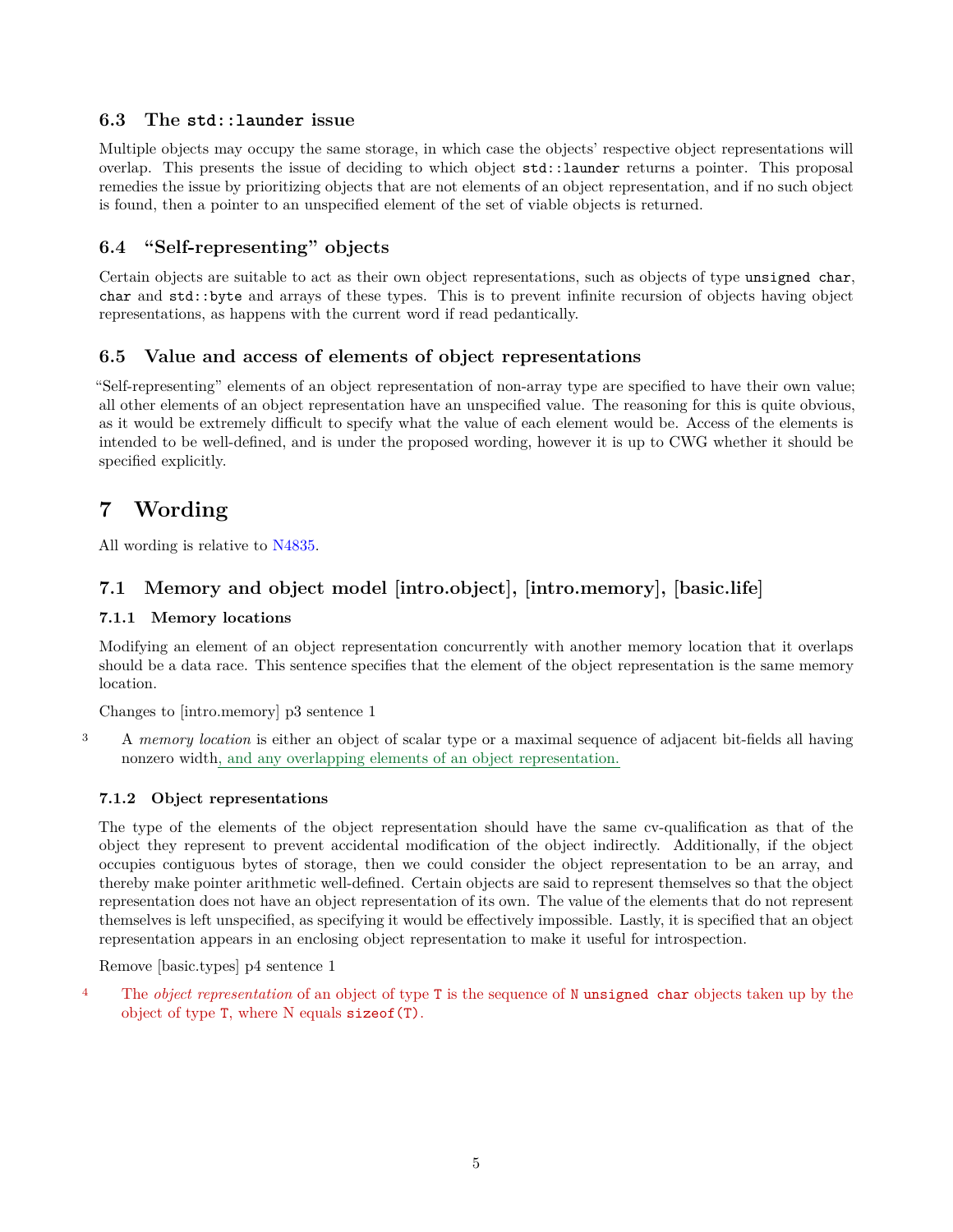#### <span id="page-4-0"></span>**6.3 The std::launder issue**

Multiple objects may occupy the same storage, in which case the objects' respective object representations will overlap. This presents the issue of deciding to which object std::launder returns a pointer. This proposal remedies the issue by prioritizing objects that are not elements of an object representation, and if no such object is found, then a pointer to an unspecified element of the set of viable objects is returned.

#### <span id="page-4-1"></span>**6.4 "Self-representing" objects**

Certain objects are suitable to act as their own object representations, such as objects of type unsigned char, char and std::byte and arrays of these types. This is to prevent infinite recursion of objects having object representations, as happens with the current word if read pedantically.

#### <span id="page-4-2"></span>**6.5 Value and access of elements of object representations**

"Self-representing" elements of an object representation of non-array type are specified to have their own value; all other elements of an object representation have an unspecified value. The reasoning for this is quite obvious, as it would be extremely difficult to specify what the value of each element would be. Access of the elements is intended to be well-defined, and is under the proposed wording, however it is up to CWG whether it should be specified explicitly.

## <span id="page-4-3"></span>**7 Wording**

All wording is relative to [N4835.](http://www.open-std.org/jtc1/sc22/wg21/docs/papers/2019/n4835.pdf)

## <span id="page-4-4"></span>**7.1 Memory and object model [intro.object], [intro.memory], [basic.life]**

#### <span id="page-4-5"></span>**7.1.1 Memory locations**

Modifying an element of an object representation concurrently with another memory location that it overlaps should be a data race. This sentence specifies that the element of the object representation is the same memory location.

Changes to [intro.memory] p3 sentence 1

<sup>3</sup> A *memory location* is either an object of scalar type or a maximal sequence of adjacent bit-fields all having nonzero width, and any overlapping elements of an object representation.

#### <span id="page-4-6"></span>**7.1.2 Object representations**

The type of the elements of the object representation should have the same cv-qualification as that of the object they represent to prevent accidental modification of the object indirectly. Additionally, if the object occupies contiguous bytes of storage, then we could consider the object representation to be an array, and thereby make pointer arithmetic well-defined. Certain objects are said to represent themselves so that the object representation does not have an object representation of its own. The value of the elements that do not represent themselves is left unspecified, as specifying it would be effectively impossible. Lastly, it is specified that an object representation appears in an enclosing object representation to make it useful for introspection.

Remove [basic.types] p4 sentence 1

<sup>4</sup> The *object representation* of an object of type T is the sequence of N unsigned char objects taken up by the object of type T, where N equals sizeof(T).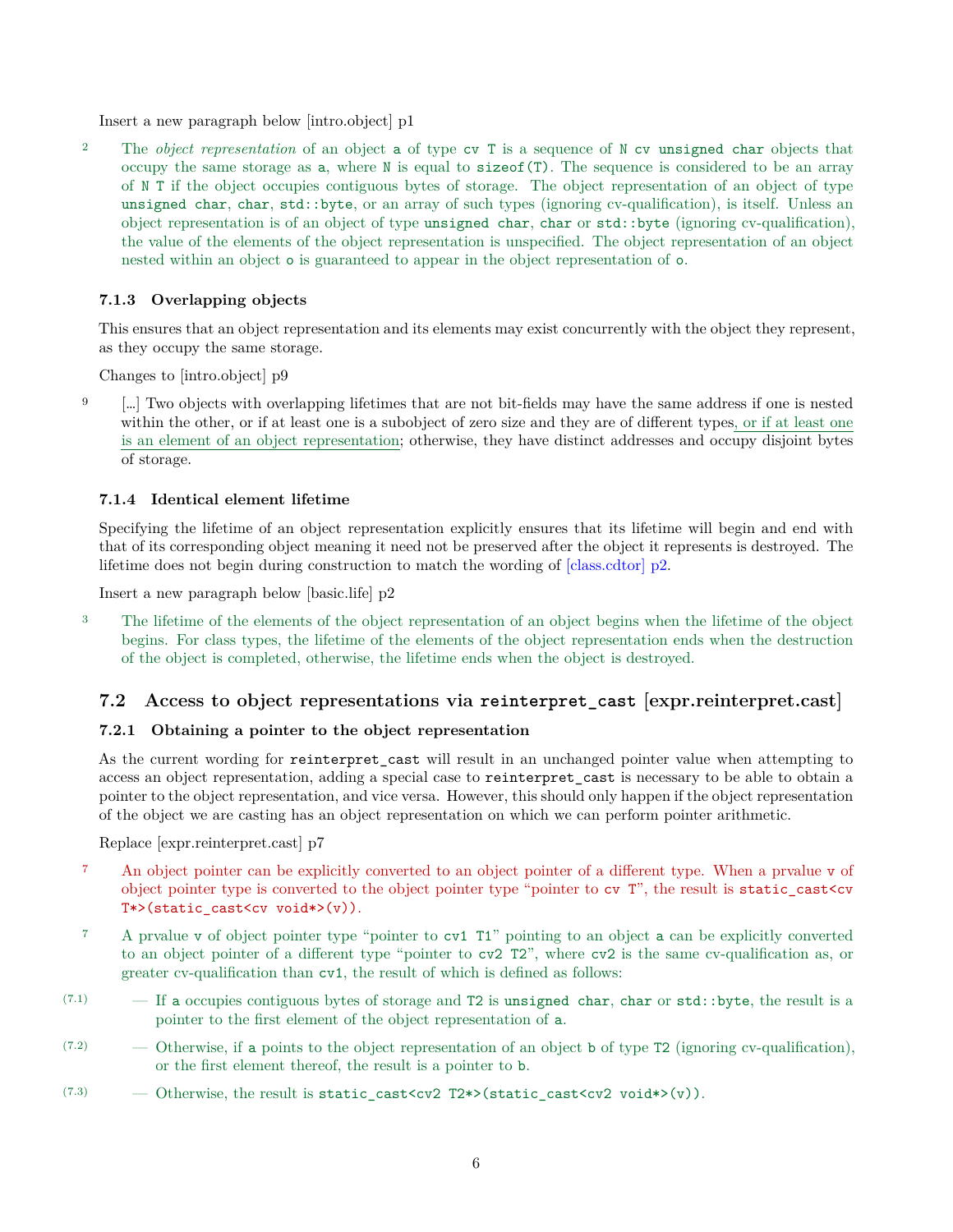Insert a new paragraph below [intro.object] p1

<sup>2</sup> The *object representation* of an object a of type cv T is a sequence of N cv unsigned char objects that occupy the same storage as a, where N is equal to sizeof(T). The sequence is considered to be an array of N T if the object occupies contiguous bytes of storage. The object representation of an object of type unsigned char, char, std::byte, or an array of such types (ignoring cv-qualification), is itself. Unless an object representation is of an object of type unsigned char, char or std::byte (ignoring cv-qualification), the value of the elements of the object representation is unspecified. The object representation of an object nested within an object o is guaranteed to appear in the object representation of o.

#### <span id="page-5-0"></span>**7.1.3 Overlapping objects**

This ensures that an object representation and its elements may exist concurrently with the object they represent, as they occupy the same storage.

Changes to [intro.object] p9

9 […] Two objects with overlapping lifetimes that are not bit-fields may have the same address if one is nested within the other, or if at least one is a subobject of zero size and they are of different types, or if at least one is an element of an object representation; otherwise, they have distinct addresses and occupy disjoint bytes of storage.

#### <span id="page-5-1"></span>**7.1.4 Identical element lifetime**

Specifying the lifetime of an object representation explicitly ensures that its lifetime will begin and end with that of its corresponding object meaning it need not be preserved after the object it represents is destroyed. The lifetime does not begin during construction to match the wording of [\[class.cdtor\] p2.](http://eel.is/c++draft/class.cdtor#2)

Insert a new paragraph below [basic.life] p2

<sup>3</sup> The lifetime of the elements of the object representation of an object begins when the lifetime of the object begins. For class types, the lifetime of the elements of the object representation ends when the destruction of the object is completed, otherwise, the lifetime ends when the object is destroyed.

#### <span id="page-5-2"></span>**7.2 Access to object representations via reinterpret\_cast [expr.reinterpret.cast]**

#### <span id="page-5-3"></span>**7.2.1 Obtaining a pointer to the object representation**

As the current wording for reinterpret cast will result in an unchanged pointer value when attempting to access an object representation, adding a special case to reinterpret\_cast is necessary to be able to obtain a pointer to the object representation, and vice versa. However, this should only happen if the object representation of the object we are casting has an object representation on which we can perform pointer arithmetic.

Replace [expr.reinterpret.cast] p7

- <sup>7</sup> An object pointer can be explicitly converted to an object pointer of a different type. When a prvalue v of object pointer type is converted to the object pointer type "pointer to cv T", the result is static\_cast<cv T\*>(static cast<cv void\*>(v)).
- <sup>7</sup> A prvalue v of object pointer type "pointer to cv1 T1" pointing to an object a can be explicitly converted to an object pointer of a different type "pointer to cv2 T2", where cv2 is the same cv-qualification as, or greater cv-qualification than cv1, the result of which is defined as follows:
- (7.1) If a occupies contiguous bytes of storage and T2 is unsigned char, char or std::byte, the result is a pointer to the first element of the object representation of a.
- $(7.2)$  Otherwise, if a points to the object representation of an object b of type T2 (ignoring cv-qualification), or the first element thereof, the result is a pointer to b.
- $(7.3)$  Otherwise, the result is static\_cast<cv2 T2\*>(static\_cast<cv2 void\*>(v)).